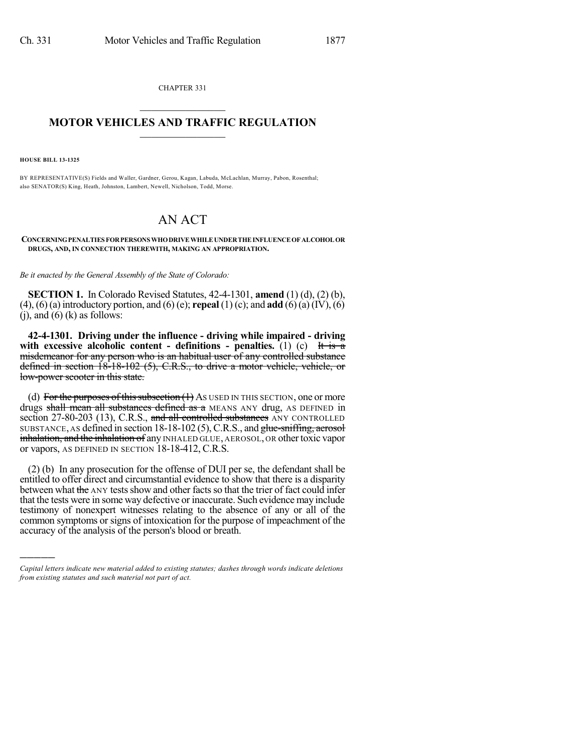CHAPTER 331  $\mathcal{L}_\text{max}$  . The set of the set of the set of the set of the set of the set of the set of the set of the set of the set of the set of the set of the set of the set of the set of the set of the set of the set of the set

## **MOTOR VEHICLES AND TRAFFIC REGULATION**  $\frac{1}{2}$  ,  $\frac{1}{2}$  ,  $\frac{1}{2}$  ,  $\frac{1}{2}$  ,  $\frac{1}{2}$  ,  $\frac{1}{2}$  ,  $\frac{1}{2}$

**HOUSE BILL 13-1325**

)))))

BY REPRESENTATIVE(S) Fields and Waller, Gardner, Gerou, Kagan, Labuda, McLachlan, Murray, Pabon, Rosenthal; also SENATOR(S) King, Heath, Johnston, Lambert, Newell, Nicholson, Todd, Morse.

## AN ACT

**CONCERNINGPENALTIES FORPERSONS WHODRIVE WHILE UNDERTHE INFLUENCE OF ALCOHOL OR DRUGS, AND, IN CONNECTION THEREWITH, MAKING AN APPROPRIATION.**

*Be it enacted by the General Assembly of the State of Colorado:*

**SECTION 1.** In Colorado Revised Statutes, 42-4-1301, **amend** (1) (d), (2) (b), (4), (6)(a) introductory portion, and (6) (e); **repeal** (1) (c); and **add** (6)(a) (IV), (6)  $(i)$ , and  $(6)$   $(k)$  as follows:

**42-4-1301. Driving under the influence - driving while impaired - driving with excessive alcoholic content - definitions - penalties.** (1) (c) It is a misdemeanor for any person who is an habitual user of any controlled substance defined in section 18-18-102 (5), C.R.S., to drive a motor vehicle, vehicle, or low-power scooter in this state.

(d) For the purposes of this subsection  $(1)$  As USED IN THIS SECTION, one or more drugs shall mean all substances defined as a MEANS ANY drug, AS DEFINED in section 27-80-203 (13), C.R.S., and all controlled substances ANY CONTROLLED SUBSTANCE, AS defined in section 18-18-102 (5), C.R.S., and glue-sniffing, aerosol inhalation, and the inhalation of any INHALED GLUE, AEROSOL, OR other toxic vapor or vapors, AS DEFINED IN SECTION 18-18-412, C.R.S.

(2) (b) In any prosecution for the offense of DUI per se, the defendant shall be entitled to offer direct and circumstantial evidence to show that there is a disparity between what the ANY tests show and other facts so that the trier of fact could infer that the tests were in some way defective or inaccurate. Such evidence may include testimony of nonexpert witnesses relating to the absence of any or all of the common symptoms or signs of intoxication for the purpose of impeachment of the accuracy of the analysis of the person's blood or breath.

*Capital letters indicate new material added to existing statutes; dashes through words indicate deletions from existing statutes and such material not part of act.*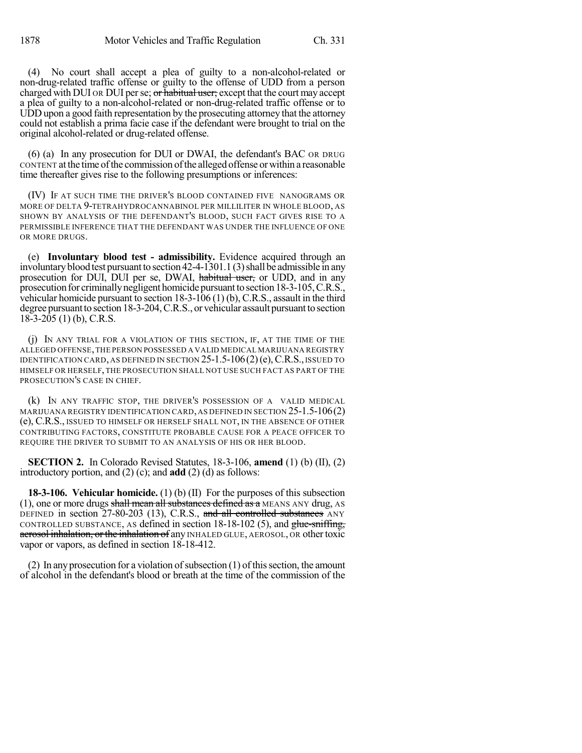(4) No court shall accept a plea of guilty to a non-alcohol-related or non-drug-related traffic offense or guilty to the offense of UDD from a person charged with DUI OR DUI per se; or habitual user; except that the court may accept a plea of guilty to a non-alcohol-related or non-drug-related traffic offense or to UDD upon a good faith representation by the prosecuting attorney that the attorney could not establish a prima facie case if the defendant were brought to trial on the original alcohol-related or drug-related offense.

(6) (a) In any prosecution for DUI or DWAI, the defendant's BAC OR DRUG CONTENT at the time of the commission of the alleged offense or within a reasonable time thereafter gives rise to the following presumptions or inferences:

(IV) IF AT SUCH TIME THE DRIVER'S BLOOD CONTAINED FIVE NANOGRAMS OR MORE OF DELTA 9-TETRAHYDROCANNABINOL PER MILLILITER IN WHOLE BLOOD, AS SHOWN BY ANALYSIS OF THE DEFENDANT'S BLOOD, SUCH FACT GIVES RISE TO A PERMISSIBLE INFERENCE THAT THE DEFENDANT WAS UNDER THE INFLUENCE OF ONE OR MORE DRUGS.

(e) **Involuntary blood test - admissibility.** Evidence acquired through an involuntary blood test pursuant to section  $42-4-1301.1$  (3) shall be admissible in any prosecution for DUI, DUI per se, DWAI, habitual user, or UDD, and in any prosecution for criminally negligent homicide pursuant to section 18-3-105, C.R.S., vehicular homicide pursuant to section 18-3-106 (1) (b), C.R.S., assault in the third degree pursuant to section 18-3-204, C.R.S., or vehicular assault pursuant to section  $18-3-205$  (1) (b), C.R.S.

(j) IN ANY TRIAL FOR A VIOLATION OF THIS SECTION, IF, AT THE TIME OF THE ALLEGED OFFENSE,THE PERSON POSSESSED A VALID MEDICAL MARIJUANA REGISTRY IDENTIFICATION CARD, AS DEFINED IN SECTION  $25-1.5-106(2)$  (e), C.R.S., ISSUED TO HIMSELF OR HERSELF, THE PROSECUTION SHALL NOT USE SUCH FACT AS PART OF THE PROSECUTION'S CASE IN CHIEF.

(k) IN ANY TRAFFIC STOP, THE DRIVER'S POSSESSION OF A VALID MEDICAL MARIJUANA REGISTRY IDENTIFICATION CARD,AS DEFINED IN SECTION 25-1.5-106(2) (e), C.R.S., ISSUED TO HIMSELF OR HERSELF SHALL NOT, IN THE ABSENCE OF OTHER CONTRIBUTING FACTORS, CONSTITUTE PROBABLE CAUSE FOR A PEACE OFFICER TO REQUIRE THE DRIVER TO SUBMIT TO AN ANALYSIS OF HIS OR HER BLOOD.

**SECTION 2.** In Colorado Revised Statutes, 18-3-106, **amend** (1) (b) (II), (2) introductory portion, and (2) (c); and **add** (2) (d) as follows:

**18-3-106. Vehicular homicide.** (1) (b) (II) For the purposes of this subsection (1), one or more drugs shall mean all substances defined as a MEANS ANY drug, AS DEFINED in section 27-80-203 (13), C.R.S., and all controlled substances ANY CONTROLLED SUBSTANCE, AS defined in section  $18-18-102$  (5), and  $\frac{glue\text{-sniffing}}{l}$ aerosol inhalation, or the inhalation of any INHALED GLUE, AEROSOL, OR other toxic vapor or vapors, as defined in section 18-18-412.

(2) In any prosecution for a violation of subsection  $(1)$  of this section, the amount of alcohol in the defendant's blood or breath at the time of the commission of the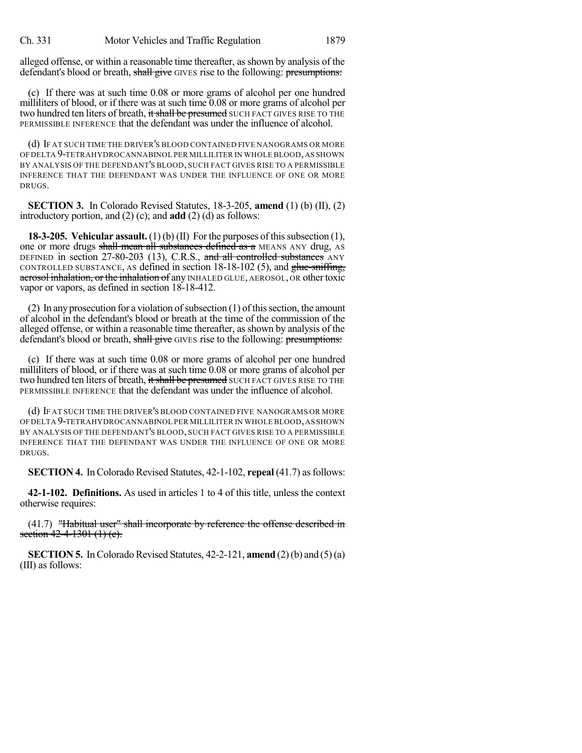alleged offense, or within a reasonable time thereafter, asshown by analysis of the defendant's blood or breath, shall give GIVES rise to the following: presumptions:

(c) If there was at such time 0.08 or more grams of alcohol per one hundred milliliters of blood, or if there was at such time 0.08 or more grams of alcohol per two hundred ten liters of breath, it shall be presumed SUCH FACT GIVES RISE TO THE PERMISSIBLE INFERENCE that the defendant was under the influence of alcohol.

(d) IF AT SUCH TIME THE DRIVER'S BLOOD CONTAINED FIVE NANOGRAMS OR MORE OFDELTA 9-TETRAHYDROCANNABINOL PER MILLILITER IN WHOLE BLOOD,AS SHOWN BY ANALYSIS OF THE DEFENDANT'S BLOOD, SUCH FACT GIVES RISE TO A PERMISSIBLE INFERENCE THAT THE DEFENDANT WAS UNDER THE INFLUENCE OF ONE OR MORE DRUGS.

**SECTION 3.** In Colorado Revised Statutes, 18-3-205, **amend** (1) (b) (II), (2) introductory portion, and (2) (c); and **add** (2) (d) as follows:

**18-3-205. Vehicular assault.** (1) (b) (II) For the purposes of this subsection (1), one or more drugs shall mean all substances defined as a MEANS ANY drug, AS DEFINED in section 27-80-203 (13), C.R.S., and all controlled substances ANY CONTROLLED SUBSTANCE, AS defined in section 18-18-102 (5), and glue-sniffing, aerosol inhalation, or the inhalation of any INHALED GLUE, AEROSOL, OR other toxic vapor or vapors, as defined in section 18-18-412.

(2) In any prosecution for a violation of subsection  $(1)$  of this section, the amount of alcohol in the defendant's blood or breath at the time of the commission of the alleged offense, or within a reasonable time thereafter, asshown by analysis of the defendant's blood or breath, shall give GIVES rise to the following: presumptions:

(c) If there was at such time 0.08 or more grams of alcohol per one hundred milliliters of blood, or if there was at such time 0.08 or more grams of alcohol per two hundred ten liters of breath, it shall be presumed SUCH FACT GIVES RISE TO THE PERMISSIBLE INFERENCE that the defendant was under the influence of alcohol.

(d) IF AT SUCH TIME THE DRIVER'S BLOOD CONTAINED FIVE NANOGRAMS OR MORE OFDELTA 9-TETRAHYDROCANNABINOL PER MILLILITER IN WHOLE BLOOD,AS SHOWN BY ANALYSIS OF THE DEFENDANT'S BLOOD, SUCH FACT GIVES RISE TO A PERMISSIBLE INFERENCE THAT THE DEFENDANT WAS UNDER THE INFLUENCE OF ONE OR MORE DRUGS.

**SECTION 4.** In Colorado Revised Statutes, 42-1-102, **repeal** (41.7) as follows:

**42-1-102. Definitions.** As used in articles 1 to 4 of this title, unless the context otherwise requires:

(41.7) "Habitual user" shall incorporate by reference the offense described in section  $42-4-1301$   $(1)$   $(c)$ .

**SECTION 5.** In Colorado Revised Statutes,  $42-2-121$ , **amend**  $(2)(b)$  and  $(5)(a)$ (III) as follows: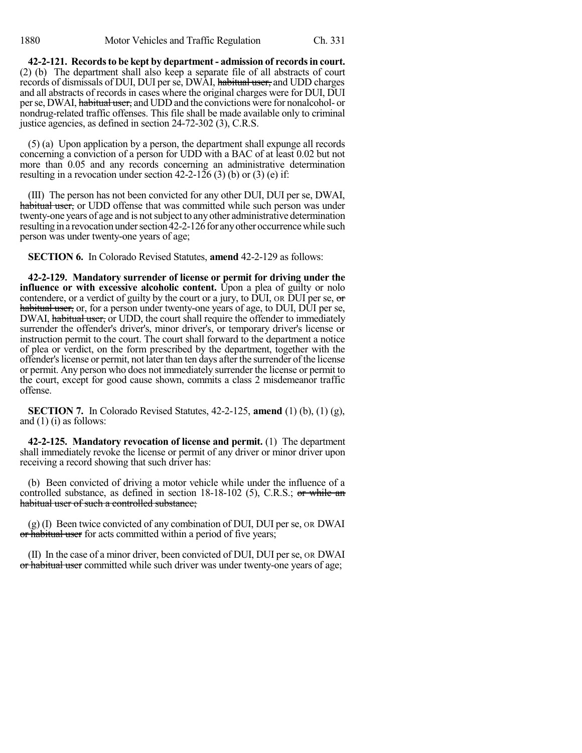**42-2-121. Recordsto be kept by department - admission of recordsin court.** (2) (b) The department shall also keep a separate file of all abstracts of court records of dismissals of DUI, DUI per se, DWAI, habitual user, and UDD charges and all abstracts of records in cases where the original charges were for DUI, DUI per se, DWAI, habitual user, and UDD and the convictions were for nonalcohol- or nondrug-related traffic offenses. This file shall be made available only to criminal justice agencies, as defined in section 24-72-302 (3), C.R.S.

(5) (a) Upon application by a person, the department shall expunge all records concerning a conviction of a person for UDD with a BAC of at least 0.02 but not more than 0.05 and any records concerning an administrative determination resulting in a revocation under section 42-2-126 (3) (b) or (3) (e) if:

(III) The person has not been convicted for any other DUI, DUI per se, DWAI, habitual user, or UDD offense that was committed while such person was under twenty-one years of age and is notsubject to anyother administrative determination resulting in a revocation under section 42-2-126 for any other occurrence while such person was under twenty-one years of age;

**SECTION 6.** In Colorado Revised Statutes, **amend** 42-2-129 as follows:

**42-2-129. Mandatory surrender of license or permit for driving under the influence or with excessive alcoholic content.** Upon a plea of guilty or nolo contendere, or a verdict of guilty by the court or a jury, to DUI, on DUI per se,  $\sigma$ habitual user, or, for a person under twenty-one years of age, to DUI, DUI per se, DWAI, habitual user, or UDD, the court shall require the offender to immediately surrender the offender's driver's, minor driver's, or temporary driver's license or instruction permit to the court. The court shall forward to the department a notice of plea or verdict, on the form prescribed by the department, together with the offender's license or permit, not later than ten days after the surrender of the license or permit. Any person who does not immediately surrender the license or permit to the court, except for good cause shown, commits a class 2 misdemeanor traffic offense.

**SECTION 7.** In Colorado Revised Statutes, 42-2-125, **amend** (1) (b), (1) (g), and  $(1)$  (i) as follows:

**42-2-125. Mandatory revocation of license and permit.** (1) The department shall immediately revoke the license or permit of any driver or minor driver upon receiving a record showing that such driver has:

(b) Been convicted of driving a motor vehicle while under the influence of a controlled substance, as defined in section 18-18-102 (5), C.R.S.; or while an habitual user of such a controlled substance;

 $(g)$  (I) Been twice convicted of any combination of DUI, DUI per se, or DWAI or habitual user for acts committed within a period of five years;

(II) In the case of a minor driver, been convicted of DUI, DUI per se, OR DWAI or habitual user committed while such driver was under twenty-one years of age;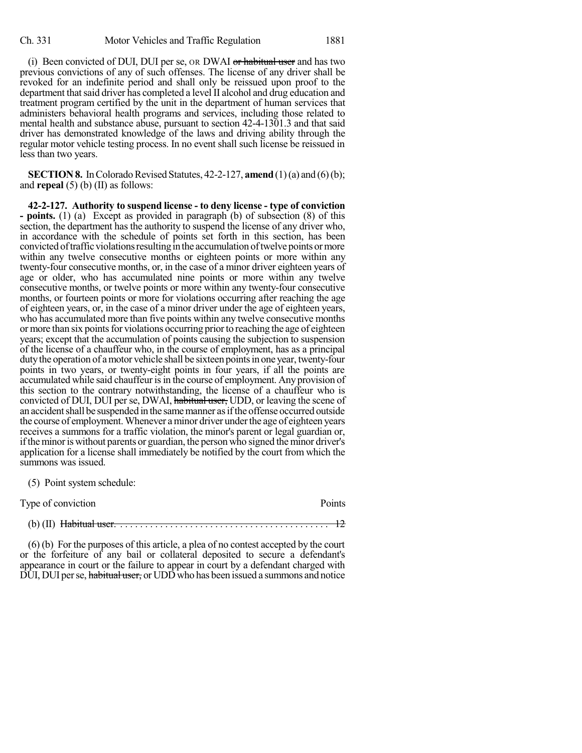(i) Been convicted of DUI, DUI per se, OR DWAI or habitual user and has two previous convictions of any of such offenses. The license of any driver shall be revoked for an indefinite period and shall only be reissued upon proof to the department that said driver has completed a level II alcohol and drug education and treatment program certified by the unit in the department of human services that administers behavioral health programs and services, including those related to mental health and substance abuse, pursuant to section 42-4-1301.3 and that said driver has demonstrated knowledge of the laws and driving ability through the regular motor vehicle testing process. In no event shall such license be reissued in less than two years.

**SECTION 8.** In Colorado Revised Statutes,  $42-2-127$ , **amend** (1)(a) and (6)(b); and **repeal** (5) (b) (II) as follows:

**42-2-127. Authority to suspend license - to deny license - type of conviction - points.** (1) (a) Except as provided in paragraph (b) of subsection (8) of this section, the department has the authority to suspend the license of any driver who, in accordance with the schedule of points set forth in this section, has been convicted of traffic violations resulting in the accumulation of twelve points or more within any twelve consecutive months or eighteen points or more within any twenty-four consecutive months, or, in the case of a minor driver eighteen years of age or older, who has accumulated nine points or more within any twelve consecutive months, or twelve points or more within any twenty-four consecutive months, or fourteen points or more for violations occurring after reaching the age of eighteen years, or, in the case of a minor driver under the age of eighteen years, who has accumulated more than five points within any twelve consecutive months or more than six points for violations occurring prior to reaching the age of eighteen years; except that the accumulation of points causing the subjection to suspension of the license of a chauffeur who, in the course of employment, has as a principal duty the operation of a motor vehicle shall be sixteen points in one year, twenty-four points in two years, or twenty-eight points in four years, if all the points are accumulated while said chauffeur is in the course of employment. Any provision of this section to the contrary notwithstanding, the license of a chauffeur who is convicted of DUI, DUI per se, DWAI, habitual user, UDD, or leaving the scene of an accident shall be suspended in the same manner as if the offense occurred outside the course of employment.Whenever aminor driver underthe age of eighteen years receives a summons for a traffic violation, the minor's parent or legal guardian or, if the minor is without parents or guardian, the person who signed the minor driver's application for a license shall immediately be notified by the court from which the summons was issued.

(5) Point system schedule:

| Type of conviction | Points |
|--------------------|--------|
|                    |        |

(b) (II) Habitual user. . . . . . . . . . . . . . . . . . . . . . . . . . . . . . . . . . . . . . . . . . . 12

(6) (b) For the purposes of this article, a plea of no contest accepted by the court or the forfeiture of any bail or collateral deposited to secure a defendant's appearance in court or the failure to appear in court by a defendant charged with  $\overrightarrow{D}$ UI, DUI per se, habitual user, or UDD who has been issued a summons and notice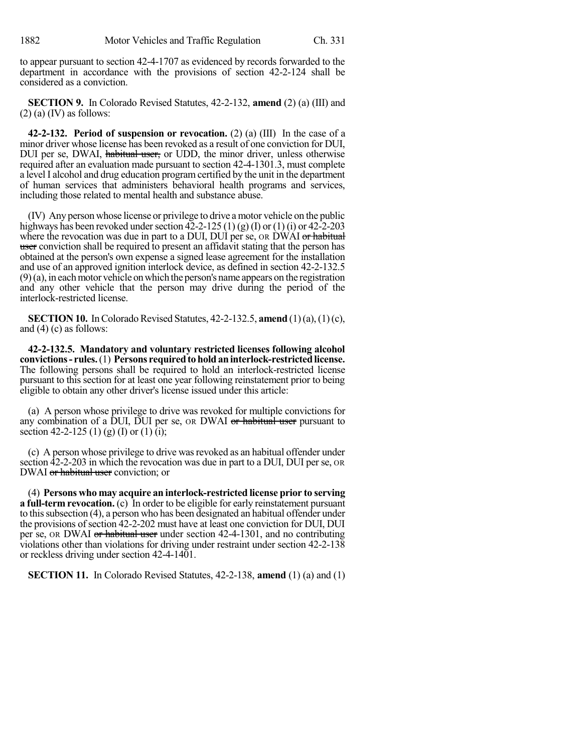to appear pursuant to section 42-4-1707 as evidenced by records forwarded to the department in accordance with the provisions of section 42-2-124 shall be considered as a conviction.

**SECTION 9.** In Colorado Revised Statutes, 42-2-132, **amend** (2) (a) (III) and  $(2)$  (a) (IV) as follows:

**42-2-132. Period of suspension or revocation.** (2) (a) (III) In the case of a minor driver whose license has been revoked as a result of one conviction for DUI, DUI per se, DWAI, habitual user, or UDD, the minor driver, unless otherwise required after an evaluation made pursuant to section 42-4-1301.3, must complete a level I alcohol and drug education programcertified by the unit in the department of human services that administers behavioral health programs and services, including those related to mental health and substance abuse.

(IV) Any person whose license or privilege to drive a motor vehicle on the public highways has been revoked under section  $42-2-125$  (1) (g) (I) or (1) (i) or  $42-2-203$ where the revocation was due in part to a DUI, DUI per se, OR DWAI or habitual user conviction shall be required to present an affidavit stating that the person has obtained at the person's own expense a signed lease agreement for the installation and use of an approved ignition interlock device, as defined in section 42-2-132.5  $(9)$ (a), in each motor vehicle on which the person's name appears on the registration and any other vehicle that the person may drive during the period of the interlock-restricted license.

**SECTION 10.** In Colorado Revised Statutes, 42-2-132.5, **amend** (1)(a), (1)(c), and (4) (c) as follows:

**42-2-132.5. Mandatory and voluntary restricted licenses following alcohol convictions- rules.**(1) **Persons requiredtoholdaninterlock-restrictedlicense.** The following persons shall be required to hold an interlock-restricted license pursuant to this section for at least one year following reinstatement prior to being eligible to obtain any other driver's license issued under this article:

(a) A person whose privilege to drive was revoked for multiple convictions for any combination of a DUI, DUI per se, or DWAI or habitual user pursuant to section 42-2-125 (1) (g) (I) or (1) (i);

(c) A person whose privilege to drive wasrevoked as an habitual offender under section 42-2-203 in which the revocation was due in part to a DUI, DUI per se, OR DWAI or habitual user conviction; or

(4) **Persons who may acquire an interlock-restricted license prior to serving a full-term revocation.** (c) In order to be eligible for early reinstatement pursuant to thissubsection (4), a person who has been designated an habitual offender under the provisions of section 42-2-202 must have at least one conviction for DUI, DUI per se, OR DWAI or habitual user under section 42-4-1301, and no contributing violations other than violations for driving under restraint under section 42-2-138 or reckless driving under section 42-4-1401.

**SECTION 11.** In Colorado Revised Statutes, 42-2-138, **amend** (1) (a) and (1)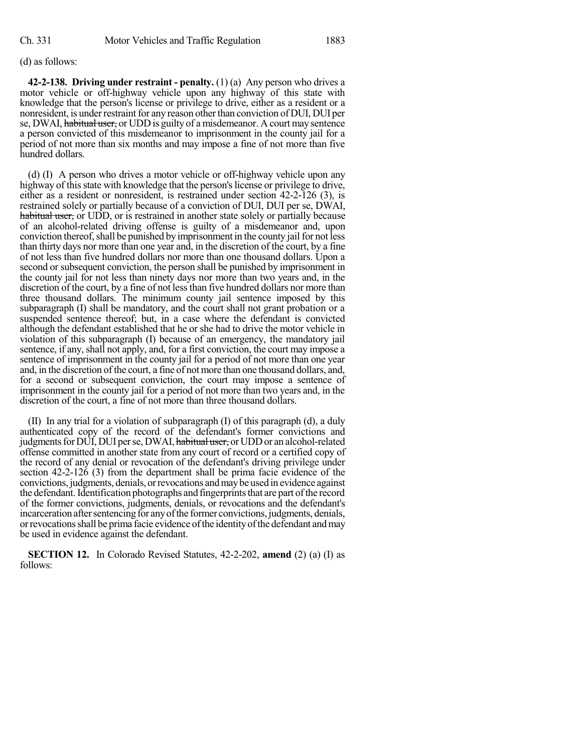## (d) as follows:

**42-2-138. Driving under restraint - penalty.** (1) (a) Any person who drives a motor vehicle or off-highway vehicle upon any highway of this state with knowledge that the person's license or privilege to drive, either as a resident or a nonresident, is under restraint for any reason other than conviction of DUI, DUI per se, DWAI, habitual user, or UDD is guilty of a misdemeanor. A court may sentence a person convicted of this misdemeanor to imprisonment in the county jail for a period of not more than six months and may impose a fine of not more than five hundred dollars.

(d) (I) A person who drives a motor vehicle or off-highway vehicle upon any highway of this state with knowledge that the person's license or privilege to drive, either as a resident or nonresident, is restrained under section 42-2-126 (3), is restrained solely or partially because of a conviction of DUI, DUI per se, DWAI, habitual user, or UDD, or is restrained in another state solely or partially because of an alcohol-related driving offense is guilty of a misdemeanor and, upon conviction thereof, shall be punished by imprisonment in the county jail for not less than thirty days nor more than one year and, in the discretion of the court, by a fine of not less than five hundred dollars nor more than one thousand dollars. Upon a second or subsequent conviction, the person shall be punished by imprisonment in the county jail for not less than ninety days nor more than two years and, in the discretion of the court, by a fine of not lessthan five hundred dollars nor more than three thousand dollars. The minimum county jail sentence imposed by this subparagraph (I) shall be mandatory, and the court shall not grant probation or a suspended sentence thereof; but, in a case where the defendant is convicted although the defendant established that he or she had to drive the motor vehicle in violation of this subparagraph (I) because of an emergency, the mandatory jail sentence, if any, shall not apply, and, for a first conviction, the court may impose a sentence of imprisonment in the county jail for a period of not more than one year and, in the discretion of the court, a fine of notmore than one thousand dollars, and, for a second or subsequent conviction, the court may impose a sentence of imprisonment in the county jail for a period of not more than two years and, in the discretion of the court, a fine of not more than three thousand dollars.

(II) In any trial for a violation of subparagraph (I) of this paragraph (d), a duly authenticated copy of the record of the defendant's former convictions and judgments for DUI, DUI per se, DWAI, habitual user, or UDD or an alcohol-related offense committed in another state from any court of record or a certified copy of the record of any denial or revocation of the defendant's driving privilege under section 42-2-126 (3) from the department shall be prima facie evidence of the convictions, judgments, denials, orrevocations andmaybe used in evidence against the defendant. Identification photographs and fingerprints that are part of the record of the former convictions, judgments, denials, or revocations and the defendant's incarceration after sentencing for any of the former convictions, judgments, denials, orrevocationsshall be prima facie evidence ofthe identityofthe defendant andmay be used in evidence against the defendant.

**SECTION 12.** In Colorado Revised Statutes, 42-2-202, **amend** (2) (a) (I) as follows: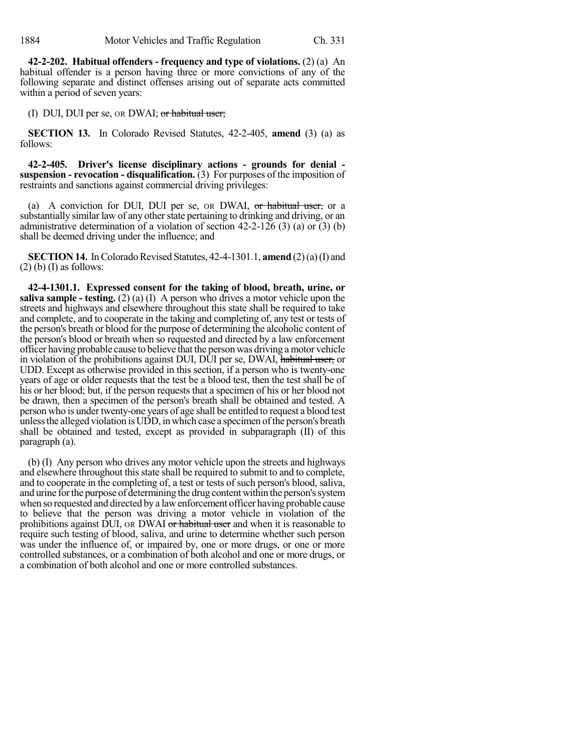**42-2-202. Habitual offenders - frequency and type of violations.** (2) (a) An habitual offender is a person having three or more convictions of any of the following separate and distinct offenses arising out of separate acts committed within a period of seven years:

(I) DUI, DUI per se, OR DWAI; or habitual user;

**SECTION 13.** In Colorado Revised Statutes, 42-2-405, **amend** (3) (a) as follows:

**42-2-405. Driver's license disciplinary actions - grounds for denial suspension - revocation - disqualification.** (3) For purposes of the imposition of restraints and sanctions against commercial driving privileges:

(a) A conviction for DUI, DUI per se, or DWAI, or habitual user, or a substantially similar law of any other state pertaining to drinking and driving, or an administrative determination of a violation of section  $42-2-126$  (3) (a) or (3) (b) shall be deemed driving under the influence; and

**SECTION 14.** In Colorado Revised Statutes, 42-4-1301.1, **amend** (2)(a)(I) and  $(2)$  (b) (I) as follows:

**42-4-1301.1. Expressed consent for the taking of blood, breath, urine, or saliva sample - testing.** (2) (a) (I) A person who drives a motor vehicle upon the streets and highways and elsewhere throughout this state shall be required to take and complete, and to cooperate in the taking and completing of, any test or tests of the person's breath or blood for the purpose of determining the alcoholic content of the person's blood or breath when so requested and directed by a law enforcement officer having probable cause to believe that the person was driving amotor vehicle in violation of the prohibitions against DUI, DUI per se, DWAI, habitual user, or UDD. Except as otherwise provided in this section, if a person who is twenty-one years of age or older requests that the test be a blood test, then the test shall be of his or her blood; but, if the person requests that a specimen of his or her blood not be drawn, then a specimen of the person's breath shall be obtained and tested. A person who is under twenty-one years of age shall be entitled to request a blood test unless the alleged violation is UDD, in which case a specimen of the person's breath shall be obtained and tested, except as provided in subparagraph (II) of this paragraph (a).

(b) (I) Any person who drives any motor vehicle upon the streets and highways and elsewhere throughout this state shall be required to submit to and to complete, and to cooperate in the completing of, a test or tests of such person's blood, saliva, and urine for the purpose of determining the drug content within the person's system when so requested and directed by a lawenforcement officer having probable cause to believe that the person was driving a motor vehicle in violation of the prohibitions against DUI, OR DWAI or habitual user and when it is reasonable to require such testing of blood, saliva, and urine to determine whether such person was under the influence of, or impaired by, one or more drugs, or one or more controlled substances, or a combination of both alcohol and one or more drugs, or a combination of both alcohol and one or more controlled substances.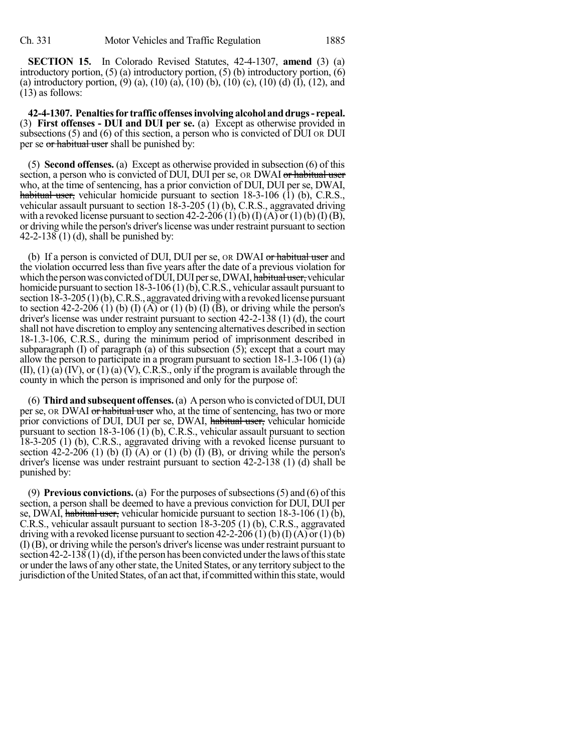**SECTION 15.** In Colorado Revised Statutes, 42-4-1307, **amend** (3) (a) introductory portion, (5) (a) introductory portion, (5) (b) introductory portion, (6) (a) introductory portion, (9) (a), (10) (a), (10) (b), (10) (c), (10) (d) (I), (12), and (13) as follows:

**42-4-1307. Penaltiesfor traffic offensesinvolving alcohol anddrugs- repeal.** (3) **First offenses - DUI and DUI per se.** (a) Except as otherwise provided in subsections (5) and (6) of this section, a person who is convicted of DUI OR DUI per se or habitual user shall be punished by:

(5) **Second offenses.** (a) Except as otherwise provided in subsection (6) of this section, a person who is convicted of DUI, DUI per se, OR DWAI or habitual user who, at the time of sentencing, has a prior conviction of DUI, DUI per se, DWAI, habitual user, vehicular homicide pursuant to section 18-3-106 (1) (b), C.R.S., vehicular assault pursuant to section 18-3-205 (1) (b), C.R.S., aggravated driving with a revoked license pursuant to section  $42-2-206$  (1) (b) (I) (A) or (1) (b) (I) (B), or driving while the person's driver'slicense was under restraint pursuant to section 42-2-138 (1) (d), shall be punished by:

(b) If a person is convicted of DUI, DUI per se, OR DWAI or habitual user and the violation occurred less than five years after the date of a previous violation for which the person was convicted of DUI, DUI per se, DWAI, habitual user, vehicular homicide pursuant to section 18-3-106 (1)(b), C.R.S., vehicular assault pursuant to section  $18-3-205(1)(b)$ , C.R.S., aggravated driving with a revoked license pursuant to section 42-2-206 (1) (b) (I) (A) or (1) (b) (I) (B), or driving while the person's driver's license was under restraint pursuant to section 42-2-138 (1) (d), the court shall not have discretion to employ any sentencing alternatives described in section 18-1.3-106, C.R.S., during the minimum period of imprisonment described in subparagraph (I) of paragraph (a) of this subsection (5); except that a court may allow the person to participate in a program pursuant to section 18-1.3-106 (1) (a)  $(II)$ ,  $(1)$   $(a)$   $(IV)$ ,  $or$   $(1)$   $(a)$   $(V)$ ,  $C.R.S.,$  only if the program is available through the county in which the person is imprisoned and only for the purpose of:

(6) **Third and subsequent offenses.**(a) A person who is convicted of DUI, DUI per se, OR DWAI or habitual user who, at the time of sentencing, has two or more prior convictions of DUI, DUI per se, DWAI, habitual user, vehicular homicide pursuant to section 18-3-106 (1) (b), C.R.S., vehicular assault pursuant to section 18-3-205 (1) (b), C.R.S., aggravated driving with a revoked license pursuant to section 42-2-206 (1) (b) (I) (A) or (1) (b) (I) (B), or driving while the person's driver's license was under restraint pursuant to section 42-2-138 (1) (d) shall be punished by:

(9) **Previous convictions.** (a) For the purposes of subsections (5) and (6) of this section, a person shall be deemed to have a previous conviction for DUI, DUI per se, DWAI, habitual user, vehicular homicide pursuant to section  $18-3-106(1)$  (b), C.R.S., vehicular assault pursuant to section 18-3-205 (1) (b), C.R.S., aggravated driving with a revoked license pursuant to section  $42-2-206$  (1) (b) (I) (A) or(1) (b) (I) (B), or driving while the person's driver'slicense was under restraint pursuant to section  $42-2-138(1)(d)$ , if the person has been convicted under the laws of this state or under the laws of any other state, the United States, or any territory subject to the jurisdiction of the United States, of an act that, if committed within this state, would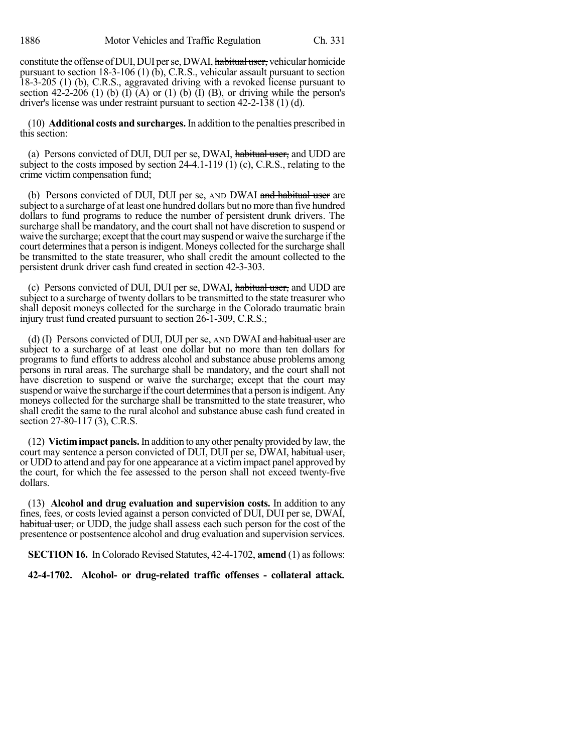constitute the offense of DUI, DUI per se, DWAI, habitual user, vehicular homicide pursuant to section 18-3-106 (1)  $(\bar{b})$ , C.R.S., vehicular assault pursuant to section 18-3-205 (1) (b), C.R.S., aggravated driving with a revoked license pursuant to section 42-2-206 (1) (b) (I) (A) or (1) (b) (I) (B), or driving while the person's driver's license was under restraint pursuant to section 42-2-138 (1) (d).

(10) **Additional costs and surcharges.** In addition to the penalties prescribed in this section:

(a) Persons convicted of DUI, DUI per se, DWAI, habitual user, and UDD are subject to the costs imposed by section 24-4.1-119 (1) (c), C.R.S., relating to the crime victim compensation fund;

(b) Persons convicted of DUI, DUI per se, AND DWAI and habitual user are subject to a surcharge of at least one hundred dollars but no more than five hundred dollars to fund programs to reduce the number of persistent drunk drivers. The surcharge shall be mandatory, and the court shall not have discretion to suspend or waive the surcharge; except that the court may suspend or waive the surcharge if the court determines that a person is indigent. Moneys collected for the surcharge shall be transmitted to the state treasurer, who shall credit the amount collected to the persistent drunk driver cash fund created in section 42-3-303.

(c) Persons convicted of DUI, DUI per se, DWAI, habitual user, and UDD are subject to a surcharge of twenty dollars to be transmitted to the state treasurer who shall deposit moneys collected for the surcharge in the Colorado traumatic brain injury trust fund created pursuant to section 26-1-309, C.R.S.;

(d) (I) Persons convicted of DUI, DUI per se, AND DWAI and habitual user are subject to a surcharge of at least one dollar but no more than ten dollars for programs to fund efforts to address alcohol and substance abuse problems among persons in rural areas. The surcharge shall be mandatory, and the court shall not have discretion to suspend or waive the surcharge; except that the court may suspend or waive the surcharge if the court determines that a person is indigent. Any moneys collected for the surcharge shall be transmitted to the state treasurer, who shall credit the same to the rural alcohol and substance abuse cash fund created in section 27-80-117 (3), C.R.S.

(12) **Victimimpact panels.**In addition to any other penalty provided by law, the court may sentence a person convicted of DUI, DUI per se, DWAI, habitual user, or UDD to attend and pay for one appearance at a victimimpact panel approved by the court, for which the fee assessed to the person shall not exceed twenty-five dollars.

(13) **Alcohol and drug evaluation and supervision costs.** In addition to any fines, fees, or costs levied against a person convicted of DUI, DUI per se, DWAI, habitual user, or UDD, the judge shall assess each such person for the cost of the presentence or postsentence alcohol and drug evaluation and supervision services.

**SECTION 16.** In Colorado Revised Statutes, 42-4-1702, **amend** (1) as follows:

**42-4-1702. Alcohol- or drug-related traffic offenses - collateral attack.**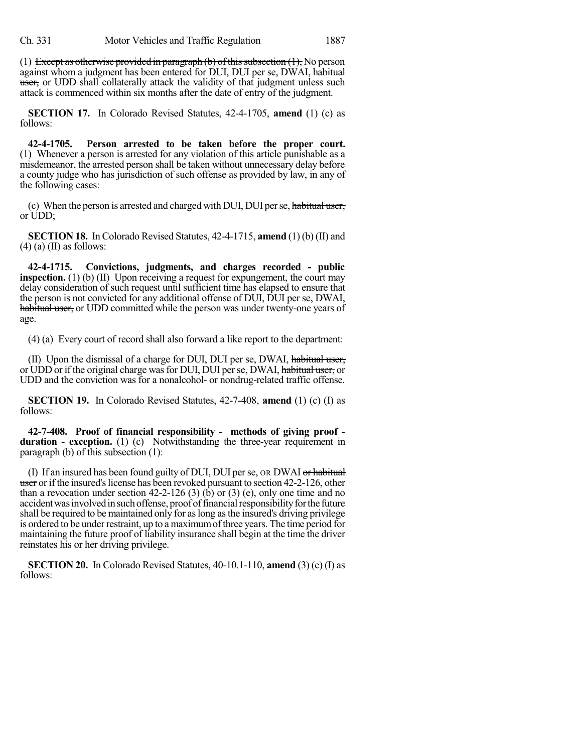(1) Except as otherwise provided in paragraph (b) of this subsection  $(1)$ , No person against whom a judgment has been entered for DUI, DUI per se, DWAI, habitual user, or UDD shall collaterally attack the validity of that judgment unless such attack is commenced within six months after the date of entry of the judgment.

**SECTION 17.** In Colorado Revised Statutes, 42-4-1705, **amend** (1) (c) as follows:

**42-4-1705. Person arrested to be taken before the proper court.** (1) Whenever a person is arrested for any violation of this article punishable as a misdemeanor, the arrested person shall be taken without unnecessary delay before a county judge who has jurisdiction of such offense as provided by law, in any of the following cases:

(c) When the person is arrested and charged with DUI, DUI per se, habitual user, or UDD;

**SECTION 18.** In Colorado Revised Statutes, 42-4-1715, **amend** (1) (b) (II) and  $(4)$  (a) (II) as follows:

**42-4-1715. Convictions, judgments, and charges recorded - public inspection.** (1) (b) (II) Upon receiving a request for expungement, the court may delay consideration of such request until sufficient time has elapsed to ensure that the person is not convicted for any additional offense of DUI, DUI per se, DWAI, habitual user, or UDD committed while the person was under twenty-one years of age.

(4) (a) Every court of record shall also forward a like report to the department:

(II) Upon the dismissal of a charge for DUI, DUI per se, DWAI, habitual user, or UDD or if the original charge was for DUI, DUI per se, DWAI, habitual user, or UDD and the conviction was for a nonalcohol- or nondrug-related traffic offense.

**SECTION 19.** In Colorado Revised Statutes, 42-7-408, **amend** (1) (c) (I) as follows:

**42-7-408. Proof of financial responsibility - methods of giving proof duration - exception.** (1) (c) Notwithstanding the three-year requirement in paragraph (b) of this subsection (1):

(I) If an insured has been found guilty of DUI, DUI per se, OR DWAI or habitual user or if the insured's license has been revoked pursuant to section 42-2-126, other than a revocation under section  $42-2-126$  (3) (b) or (3) (e), only one time and no accident was involved in such offense, proof of financial responsibility for the future shall be required to be maintained only for aslong asthe insured's driving privilege is ordered to be under restraint, up to a maximum of three years. The time period for maintaining the future proof of liability insurance shall begin at the time the driver reinstates his or her driving privilege.

**SECTION 20.** In Colorado Revised Statutes, 40-10.1-110, **amend** (3) (c) (I) as follows: